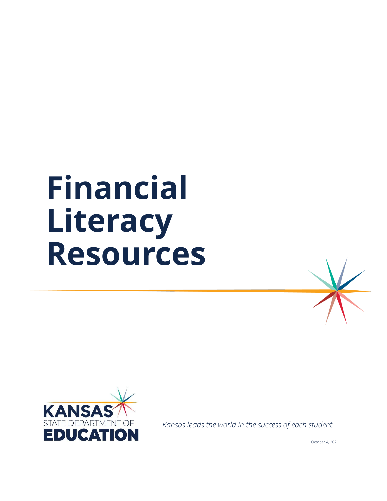# **Financial Literacy Resources**



*Kansas leads the world in the success of each student.*

October 4, 2021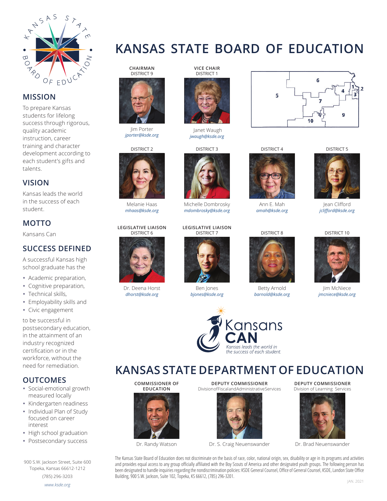

#### **MISSION**

To prepare Kansas students for lifelong success through rigorous, quality academic instruction, career training and character development according to each student's gifts and talents.

#### **VISION**

Kansas leads the world in the success of each student.

#### **MOTTO**

Kansans Can

#### **SUCCESS DEFINED**

A successful Kansas high school graduate has the

- Academic preparation,
- Cognitive preparation,
- Technical skills,
- Employability skills and
- Civic engagement

to be successful in postsecondary education, in the attainment of an industry recognized certification or in the workforce, without the need for remediation.

#### **OUTCOMES**

- Social-emotional growth measured locally
- Kindergarten readiness
- Individual Plan of Study focused on career interest
- High school graduation
- Postsecondary success

900 S.W. Jackson Street, Suite 600 Topeka, Kansas 66612-1212

(785) 296-3203 *www.ksde.org*



**CHAIRMAN** DISTRICT 9



Jim Porter *jporter@ksde.org*

DISTRICT 2



Melanie Haas *mhaas@ksde.org*

#### **LEGISLATIVE LIAISON** DISTRICT 6



Dr. Deena Horst *dhorst@ksde.org*



**VICE CHAIR**

Janet Waugh *jwaugh@ksde.org*

DISTRICT 3



Michelle Dombrosky *mdombrosky@ksde.org*

#### **LEGISLATIVE LIAISON** DISTRICT 7



*bjones@ksde.org*



### 6 5  $\alpha$ 10

DISTRICT 4



Ann E. Mah *amah@ksde.org*





Betty Arnold *barnold@ksde.org*



Jean Clifford *jcliff ord@ksde.org*

#### DISTRICT 10



Jim McNiece *jmcniece@ksde.org*

**KANSAS STATE DEPARTMENT OF EDUCATION**

**COMMISSIONER OF EDUCATION** 



Dr. Randy Watson

**DEPUTY COMMISSIONER** Division of Fiscal and Administrative Services



Dr. S. Craig Neuenswander

**DEPUTY COMMISSIONER** Division of Learning Services



Dr. Brad Neuenswander

The Kansas State Board of Education does not discriminate on the basis of race, color, national origin, sex, disability o[r age in its programs](http://www.ksde.org/) and activities and provides equal access to any group officially affiliated with the Boy Scouts of America and other designated youth groups. The following person has been designated to handle inquiries regarding the nondiscrimination policies: KSDE General Counsel, Office of General Counsel, KSDE, Landon State Office Building, 900 S.W. Jackson, Suite 102, Topeka, KS 66612, (785) 296-3201.





Ben Jones



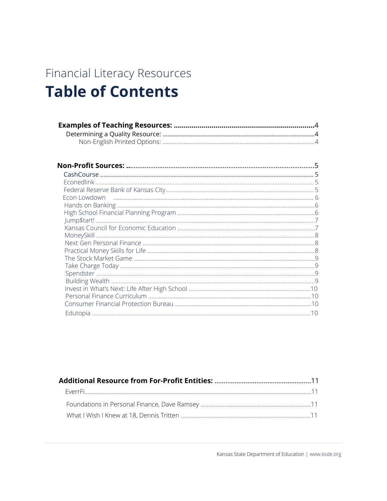### Financial Literacy Resources **Table of Contents**

| 1 <sub>0</sub> |
|----------------|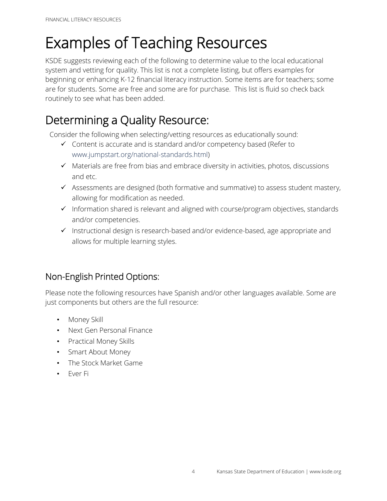# Examples of Teaching Resources

KSDE suggests reviewing each of the following to determine value to the local educational system and vetting for quality. This list is not a complete listing, but offers examples for beginning or enhancing K-12 financial literacy instruction. Some items are for teachers; some are for students. Some are free and some are for purchase. This list is fluid so check back routinely to see what has been added.

### Determining a Quality Resource:

Consider the following when selecting/vetting resources as educationally sound:

- ✓ Content is accurate and is standard and/or competency based (Refer to [www.jumpstart.org/national-standards.html\)](www.jumpstart.org/national-standards.html)
- ✓ Materials are free from bias and embrace diversity in activities, photos, discussions and etc.
- ✓ Assessments are designed (both formative and summative) to assess student mastery, allowing for modification as needed.
- ✓ Information shared is relevant and aligned with course/program objectives, standards and/or competencies.
- ✓ Instructional design is research-based and/or evidence-based, age appropriate and allows for multiple learning styles.

#### Non-English Printed Options:

Please note the following resources have Spanish and/or other languages available. Some are just components but others are the full resource:

- Money Skill
- Next Gen Personal Finance
- Practical Money Skills
- Smart About Money
- The Stock Market Game
- Ever Fi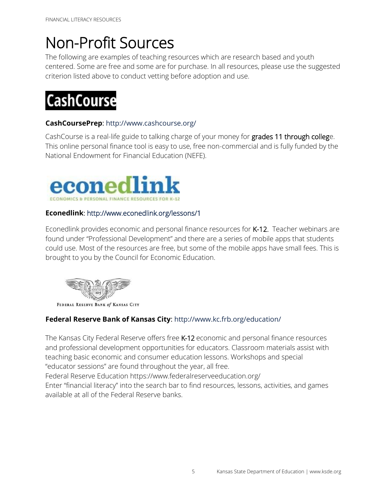# Non-Profit Sources

The following are examples of teaching resources which are research based and youth centered. Some are free and some are for purchase. In all resources, please use the suggested criterion listed above to conduct vetting before adoption and use.

# **CashCourse**

#### **CashCoursePrep**: <http://www.cashcourse.org/>

CashCourse is a real-life guide to talking charge of your money for grades 11 through college. This online personal finance tool is easy to use, free non-commercial and is fully funded by the National Endowment for Financial Education (NEFE).



#### **Econedlink**:<http://www.econedlink.org/lessons/1>

Econedlink provides economic and personal finance resources for K-12. Teacher webinars are found under "Professional Development" and there are a series of mobile apps that students could use. Most of the resources are free, but some of the mobile apps have small fees. This is brought to you by the Council for Economic Education.



#### **Federal Reserve Bank of Kansas City**:<http://www.kc.frb.org/education/>

The Kansas City Federal Reserve offers free K-12 economic and personal finance resources and professional development opportunities for educators. Classroom materials assist with teaching basic economic and consumer education lessons. Workshops and special "educator sessions" are found throughout the year, all free.

Federal Reserve Education https://www.federalreserveeducation.org/

Enter "financial literacy" into the search bar to find resources, lessons, activities, and games available at all of the Federal Reserve banks.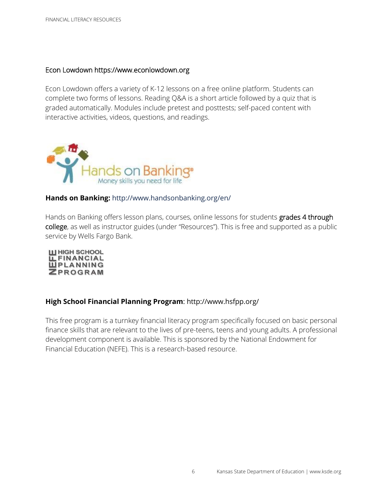#### Econ Lowdown htt[ps://www.econlowdown.org](http://www.genirevolution.org/)

Econ Lowdown offers a variety of K-12 lessons on a free online platform. Students can complete two forms of lessons. Reading Q&A is a short article followed by a quiz that is graded automatically. Modules include pretest and posttests; self-paced content with interactive activities, videos, questions, and readings.



#### **[Hands on Banking:](http://www.handsonbanking.org/en/)** <http://www.handsonbanking.org/en/>

Hands on Banking offers lesson plans, courses, online lessons for students grades 4 through college, as well as instructor guides (under "Resources"). This is free and supported as a public service by Wells Fargo Bank.



#### **[High School Financial Planning Program](http://www.hsfpp.org/)**: <http://www.hsfpp.org/>

This free program is a turnkey financial literacy program specifically focused on basic personal finance skills that are relevant to the lives of pre-teens, teens and young adults. A professional development component is available. This is sponsored by the National Endowment for Financial Education (NEFE). This is a research-based resource.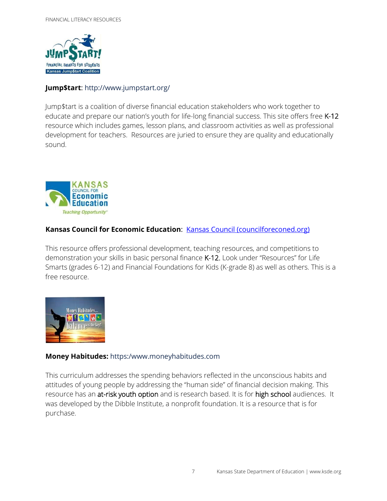

#### **Jump\$tart**: <http://www.jumpstart.org/>

Jump\$tart is a coalition of diverse financial education stakeholders who work together to educate and prepare our nation's youth for life-long financial success. This site offers free K-12 resource which includes games, lesson plans, and classroom activities as well as professional development for teachers. Resources are juried to ensure they are quality and educationally sound.



#### Kansas Council for Economic Education: **[Kansas Council \(councilforeconed.org\)](http://kansas.councilforeconed.org/)**

This resource offers professional development, teaching resources, and competitions to demonstration your skills in basic personal finance K-12. Look under "Resources" for Life Smarts (grades 6-12) and Financial Foundations for Kids (K-grade 8) as well as others. This is a free resource.



#### **Money Habitudes:** [https:/www.moneyhabitudes.com](https://www.moneyhabitudes.com/)

This curriculum addresses the spending behaviors reflected in the unconscious habits and attitudes of young people by addressing the "human side" of financial decision making. This resource has an at-risk youth option and is research based. It is for high school audiences. It was developed by the Dibble Institute, a nonprofit foundation. It is a resource that is for purchase.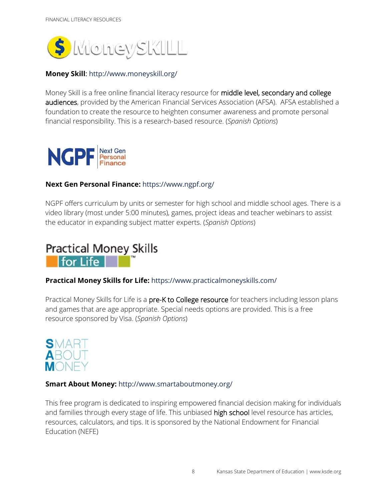

#### **Money Skill**: <http://www.moneyskill.org/>

Money Skill is a free online financial literacy resource for middle level, secondary and college audiences, provided by the American Financial Services Association (AFSA). AFSA established a foundation to create the resource to heighten consumer awareness and promote personal financial responsibility. This is a research-based resource. (*Spanish Options*)



#### **Next Gen Personal Finance:** <https://www.ngpf.org/>

NGPF offers curriculum by units or semester for high school and middle school ages. There is a video library (most under 5:00 minutes), games, project ideas and teacher webinars to assist the educator in expanding subject matter experts. (*Spanish Options*)



#### **Practical Money Skills for Life:** <https://www.practicalmoneyskills.com/>

Practical Money Skills for Life is a pre-K to College resource for teachers including lesson plans and games that are age appropriate. Special needs options are provided. This is a free resource sponsored by Visa. (*Spanish Options*)



#### **Smart About Money:** <http://www.smartaboutmoney.org/>

This free program is dedicated to inspiring empowered financial decision making for individuals and families through every stage of life. This unbiased high school level resource has articles, resources, calculators, and tips. It is sponsored by the National Endowment for Financial Education (NEFE)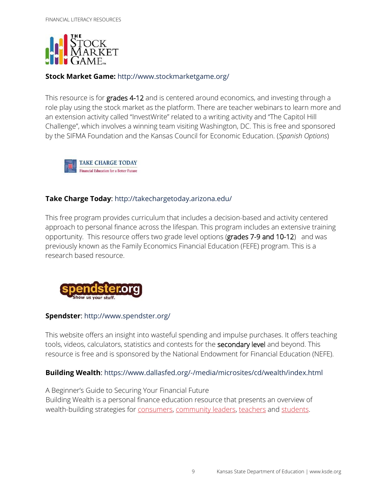

#### **Stock Market Game:** <http://www.stockmarketgame.org/>

This resource is for grades 4-12 and is centered around economics, and investing through a role play using the stock market as the platform. There are teacher webinars to learn more and an extension activity called "InvestWrite" related to a writing activity and "The Capitol Hill Challenge", which involves a winning team visiting Washington, DC. This is free and sponsored by the SIFMA Foundation and the Kansas Council for Economic Education. (*Spanish Options*)



#### **Take Charge Today**: <http://takechargetoday.arizona.edu/>

This free program provides curriculum that includes a decision-based and activity centered approach to personal finance across the lifespan. This program includes an extensive training opportunity. This resource offers two grade level options (grades 7-9 and 10-12) and was previously known as the Family Economics Financial Education (FEFE) program. This is a research based resource.



#### **Spendster**: <http://www.spendster.org/>

This website offers an insight into wasteful spending and impulse purchases. It offers teaching tools, videos, calculators, statistics and contests for the secondary level and beyond. This resource is free and is sponsored by the National Endowment for Financial Education (NEFE).

#### **Building Wealth**: [https://www.dallasfed.org/-/media/microsites/cd/wealth/index.html](https://linkprotect.cudasvc.com/url?a=https%3a%2f%2fwww.dallasfed.org%2f-%2fmedia%2fmicrosites%2fcd%2fwealth%2findex.html&c=E,1,8aZsnWZta68Wxdsdh1YXwQgnatWP81hHwmfwoEikHZlHml030DdXHB9hL2EX_FgA9MVR4Mfms5gsiquLXp_jxt-RG9LZm8F5zQTIf6PGvQ,,&typo=1)

A Beginner's Guide to Securing Your Financial Future Building Wealth is a personal finance education resource that presents an overview of wealth-building strategies for [consumers,](https://www.dallasfed.org/-/media/microsites/cd/wealth/consumers.html) [community leaders,](https://www.dallasfed.org/-/media/microsites/cd/wealth/community.html) [teachers](https://www.dallasfed.org/-/media/microsites/cd/wealth/teachers.html) and [students.](https://www.dallasfed.org/-/media/microsites/cd/wealth/students.html)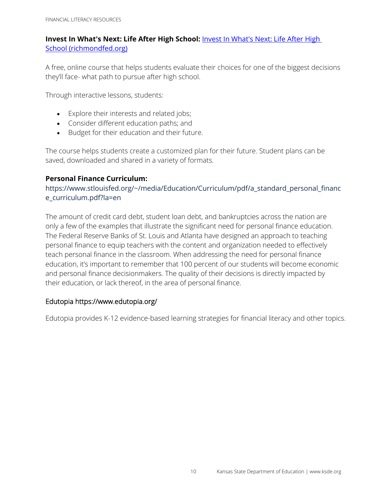#### **[Invest In What's Next: Life After High](https://www.richmondfed.org/education/for_teachers/invest_in_whats_next) School:** *Invest In What's Next: Life After High* [School \(richmondfed.org\)](https://www.richmondfed.org/education/for_teachers/invest_in_whats_next)

A free, online course that helps students evaluate their choices for one of the biggest decisions they'll face- what path to pursue after high school.

Through interactive lessons, students:

- Explore their interests and related jobs;
- Consider different education paths; and
- Budget for their education and their future.

The course helps students create a customized plan for their future. Student plans can be saved, downloaded and shared in a variety of formats.

#### **Personal Finance Curriculum:**

[https://www.stlouisfed.org/~/media/Education/Curriculum/pdf/a\\_standard\\_personal\\_financ](https://www.stlouisfed.org/~/media/Education/Curriculum/pdf/a_standard_personal_finance_curriculum.pdf?la=en) [e\\_curriculum.pdf?la=en](https://www.stlouisfed.org/~/media/Education/Curriculum/pdf/a_standard_personal_finance_curriculum.pdf?la=en)

The amount of credit card debt, student loan debt, and bankruptcies across the nation are only a few of the examples that illustrate the significant need for personal finance education. The Federal Reserve Banks of St. Louis and Atlanta have designed an approach to teaching personal finance to equip teachers with the content and organization needed to effectively teach personal finance in the classroom. When addressing the need for personal finance education, it's important to remember that 100 percent of our students will become economic and personal finance decisionmakers. The quality of their decisions is directly impacted by their education, or lack thereof, in the area of personal finance.

#### Edutopia https://www.edutopia.org/

Edutopia provides K-12 evidence-based learning strategies for financial literacy and other topics.